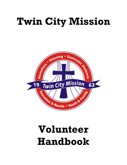# **Twin City Mission**



## **Volunteer Handbook**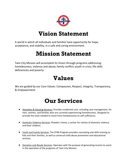

### **Vision Statement**

A world in which all individuals and families have opportunity for hope, acceptance, and stability, in a safe and caring environment.

## **Mission Statement**

Twin City Mission will accomplish its Vision through programs addressing: homelessness; violence and abuse; family conflict; youth in crisis; life skills deficiencies and poverty.

### **Values**

We are guided by our Core Values: Compassion, Respect, Integrity, Transparency, & Empowerment.

### **Our Services**

- **Homeless & Housing Services: Provides residential care, including case management, for** men, women, and families who are currently experiencing homelessness. Designed to provide the tools needed to move from homelessness to self-sufficiency.
- Domestic Violence Services: Phoebe's Home, a center for victims of domestic violence and their children.
- Youth and Family Services: The STAR Program provides counseling and skills training to kids and their families, as well as universal child abuse prevention and educational services.
- Donation and Resale Services: Operates with the purpose of generating income to assist in the operation of the programs of Twin City Mission.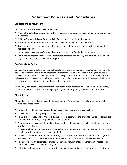### **Volunteer Policies and Procedures**

#### **Expectations of Volunteers**

Individuals who are selected to volunteer must:

- Provide the Volunteer Coordinator with all requested information so that a personnel folder may be maintained
- Abide by Twin City Mission Confidentiality Policy concerning client information
- Notify the Volunteer Coordinator in advance if you are unable to attend your shift
- Sign a Volunteer Sign-in sheet and enter the amount of hours worked, which will be rounded to the nearest half hour
- Be cooperative and respectful when dealing with clients, staff and other volunteers
- Notify the Volunteer Coordinator or another staff member immediately if you are a witness to any physical or verbal abuse while at our programs

#### **Confidentiality Policy**

Confidential and/or private information about clients is not to be shared or repeated to others outside the scope of services and must be protected. Information that becomes known during the course of services and the identity of any adult or child receiving shelter or other services will not be disclosed unless required by law to report abuse or neglect. Particularly in situations involving domestic violence, the safety and security of clients and their children are at stake.

Additionally, confidential or private information about a staff member, board or council member may not be shared outside the dictates of agency policy and laws regarding the release of information.

#### **Client Rights**

All clients of Twin City Mission have the following rights. Volunteers of Twin City Mission may not infringe upon these rights:

- To have their interests and independence recognized as our primary responsibility
- To have their civil and legal rights respected and protected
- To have their privacy and confidentiality respected, except when the information disclosed is subject to mandatory reporting as required by law and regulations
- To be responded to compassionately without opinion or judgement and to have their statement of events accepted as told
- To have services provided without attributing blame no matter what their conduct was at the time of the victimization or at another stage in their life
- To have a victim's advocate, when requested, act on behalf of their stated needs without regards to advocate's personal opinions and within the social and legal parameters of this organization
- To be provided with personalized treatment including regulars that are in their best interest or to refuse any service offered in this program
- Not to be exploited or abused in any way by staff, volunteers or board member of this organization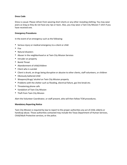#### **Dress Code**

Dress is casual. Please refrain from wearing short shorts or any other revealing clothing. You may wear jeans as long as they do not have any rips or tears. Also, you may wear a Twin City Mission T-shirt if you have received one.

#### **Emergency Procedures**

In the event of an emergency such as the following:

- Serious injury or medical emergency to a client or child
- Fire
- Natural disasters
- Abuser in the neighborhood or at Twin City Mission Services
- Intruder on property
- Bomb Threat
- Abandonment of child/children
- Client who is suicidal
- Client is drunk, on drugs being disruptive or abusive to other clients, staff volunteers, or children
- Obviously battered child
- Weapons/drugs/ alcohol on Twin City Mission property
- Problems with the shelter such as flooding, electrical failure, gas line break etc.
- Threatening phone calls
- Vandalism of Twin City Mission
- Theft from Twin City Mission

Alert the Volunteer Coordinator, or staff present, who will then follow TCM procedures.

#### **Mandatory Reporting Notice**

Twin City Mission is required by law to report to the proper authorities any act of child, elderly or handicap abuse. Those authorities contacted may include the Texas Department of Human Services, Child/Adult Protective services, or the police.